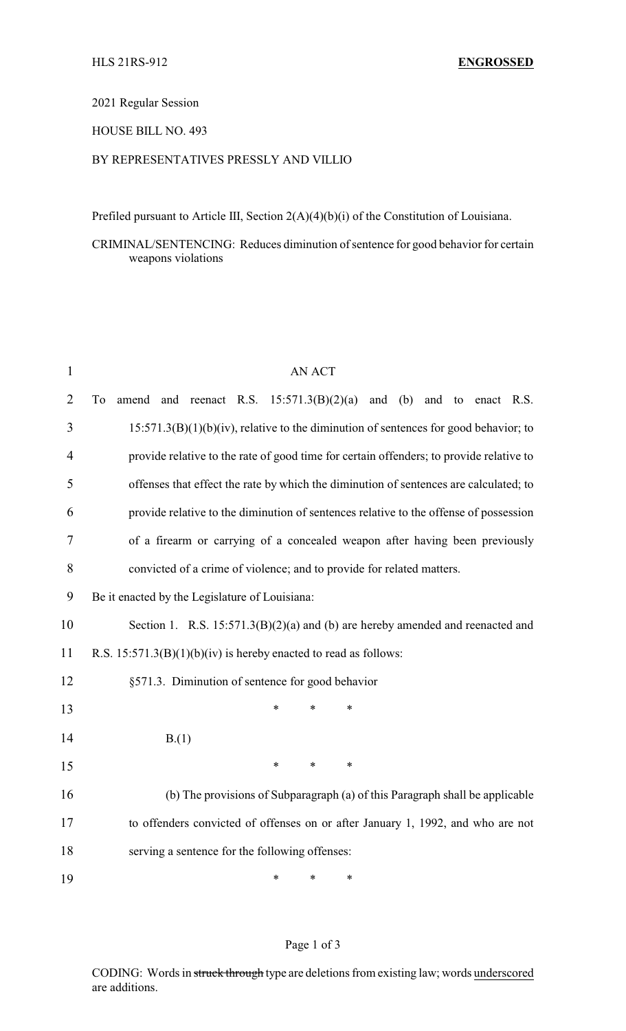2021 Regular Session

HOUSE BILL NO. 493

## BY REPRESENTATIVES PRESSLY AND VILLIO

Prefiled pursuant to Article III, Section 2(A)(4)(b)(i) of the Constitution of Louisiana.

CRIMINAL/SENTENCING: Reduces diminution of sentence for good behavior for certain weapons violations

| $\mathbf{1}$   | <b>AN ACT</b>                                                                           |  |  |  |
|----------------|-----------------------------------------------------------------------------------------|--|--|--|
| $\overline{2}$ | and reenact R.S. $15:571.3(B)(2)(a)$ and (b) and to enact R.S.<br>To<br>amend           |  |  |  |
| 3              | $15:571.3(B)(1)(b)(iv)$ , relative to the diminution of sentences for good behavior; to |  |  |  |
| $\overline{4}$ | provide relative to the rate of good time for certain offenders; to provide relative to |  |  |  |
| 5              | offenses that effect the rate by which the diminution of sentences are calculated; to   |  |  |  |
| 6              | provide relative to the diminution of sentences relative to the offense of possession   |  |  |  |
| 7              | of a firearm or carrying of a concealed weapon after having been previously             |  |  |  |
| 8              | convicted of a crime of violence; and to provide for related matters.                   |  |  |  |
| 9              | Be it enacted by the Legislature of Louisiana:                                          |  |  |  |
| 10             | Section 1. R.S. $15:571.3(B)(2)(a)$ and (b) are hereby amended and reenacted and        |  |  |  |
| 11             | R.S. $15:571.3(B)(1)(b)(iv)$ is hereby enacted to read as follows:                      |  |  |  |
| 12             | §571.3. Diminution of sentence for good behavior                                        |  |  |  |
| 13             | $\ast$<br>$\ast$<br>$\ast$                                                              |  |  |  |
| 14             | B(1)                                                                                    |  |  |  |
| 15             | $\ast$<br>$\ast$<br>$\ast$                                                              |  |  |  |
| 16             | (b) The provisions of Subparagraph (a) of this Paragraph shall be applicable            |  |  |  |
| 17             | to offenders convicted of offenses on or after January 1, 1992, and who are not         |  |  |  |
| 18             | serving a sentence for the following offenses:                                          |  |  |  |
| 19             | $\ast$<br>*<br>$\ast$                                                                   |  |  |  |

## Page 1 of 3

CODING: Words in struck through type are deletions from existing law; words underscored are additions.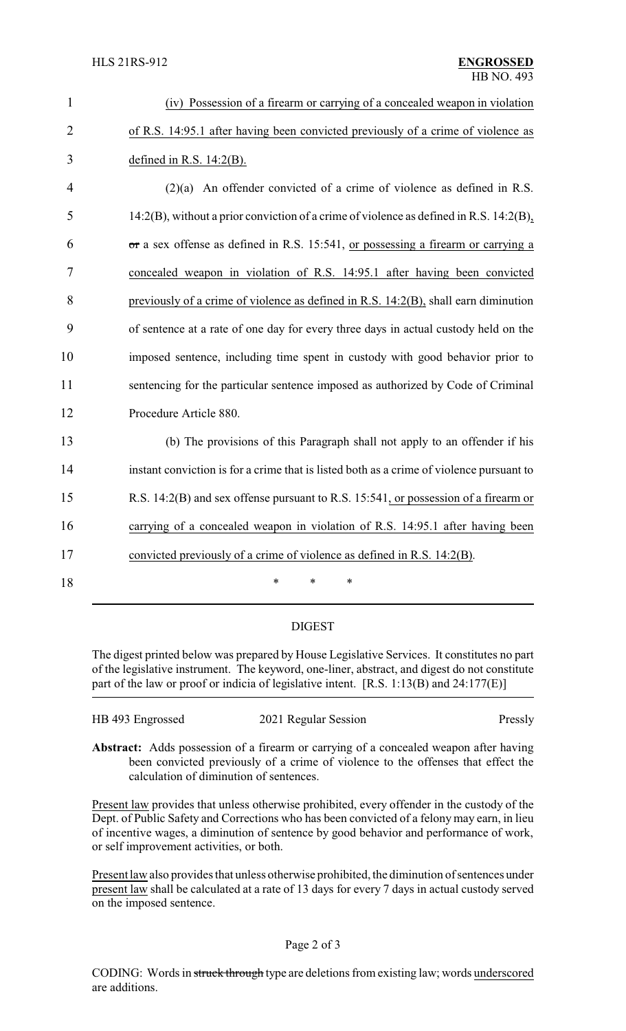| $\mathbf{1}$   | (iv) Possession of a firearm or carrying of a concealed weapon in violation              |
|----------------|------------------------------------------------------------------------------------------|
| $\overline{2}$ | of R.S. 14:95.1 after having been convicted previously of a crime of violence as         |
| 3              | defined in R.S. $14:2(B)$ .                                                              |
| $\overline{4}$ | $(2)(a)$ An offender convicted of a crime of violence as defined in R.S.                 |
| 5              | 14:2(B), without a prior conviction of a crime of violence as defined in R.S. 14:2(B),   |
| 6              | or a sex offense as defined in R.S. 15:541, or possessing a firearm or carrying a        |
| 7              | concealed weapon in violation of R.S. 14:95.1 after having been convicted                |
| 8              | previously of a crime of violence as defined in R.S. 14:2(B), shall earn diminution      |
| 9              | of sentence at a rate of one day for every three days in actual custody held on the      |
| 10             | imposed sentence, including time spent in custody with good behavior prior to            |
| 11             | sentencing for the particular sentence imposed as authorized by Code of Criminal         |
| 12             | Procedure Article 880.                                                                   |
| 13             | (b) The provisions of this Paragraph shall not apply to an offender if his               |
| 14             | instant conviction is for a crime that is listed both as a crime of violence pursuant to |
| 15             | R.S. 14:2(B) and sex offense pursuant to R.S. 15:541, or possession of a firearm or      |
| 16             | carrying of a concealed weapon in violation of R.S. 14:95.1 after having been            |
| 17             | convicted previously of a crime of violence as defined in R.S. 14:2(B).                  |
| 18             | *<br>*<br>*                                                                              |

## DIGEST

The digest printed below was prepared by House Legislative Services. It constitutes no part of the legislative instrument. The keyword, one-liner, abstract, and digest do not constitute part of the law or proof or indicia of legislative intent. [R.S. 1:13(B) and 24:177(E)]

| HB 493 Engrossed | 2021 Regular Session | Pressly |
|------------------|----------------------|---------|
|                  |                      |         |

**Abstract:** Adds possession of a firearm or carrying of a concealed weapon after having been convicted previously of a crime of violence to the offenses that effect the calculation of diminution of sentences.

Present law provides that unless otherwise prohibited, every offender in the custody of the Dept. of Public Safety and Corrections who has been convicted of a felony may earn, in lieu of incentive wages, a diminution of sentence by good behavior and performance of work, or self improvement activities, or both.

Present law also provides that unless otherwise prohibited, the diminution of sentences under present law shall be calculated at a rate of 13 days for every 7 days in actual custody served on the imposed sentence.